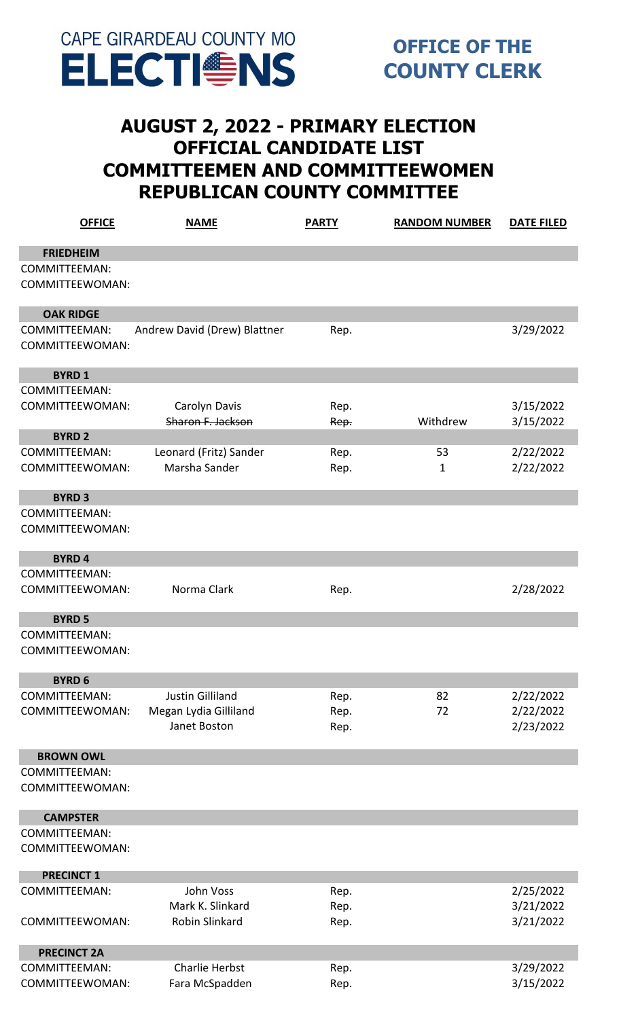

## **AUGUST 2, 2022 - PRIMARY ELECTION OFFICIAL CANDIDATE LIST COMMITTEEMEN AND COMMITTEEWOMEN REPUBLICAN COUNTY COMMITTEE**

| <b>OFFICE</b>        | <b>NAME</b>                  | <b>PARTY</b> | <b>RANDOM NUMBER</b> | <b>DATE FILED</b> |
|----------------------|------------------------------|--------------|----------------------|-------------------|
| <b>FRIEDHEIM</b>     |                              |              |                      |                   |
| <b>COMMITTEEMAN:</b> |                              |              |                      |                   |
| COMMITTEEWOMAN:      |                              |              |                      |                   |
| <b>OAK RIDGE</b>     |                              |              |                      |                   |
| COMMITTEEMAN:        | Andrew David (Drew) Blattner | Rep.         |                      | 3/29/2022         |
| COMMITTEEWOMAN:      |                              |              |                      |                   |
| <b>BYRD1</b>         |                              |              |                      |                   |
| <b>COMMITTEEMAN:</b> |                              |              |                      |                   |
| COMMITTEEWOMAN:      | Carolyn Davis                | Rep.         |                      | 3/15/2022         |
|                      | Sharon F. Jackson            | Rep.         | Withdrew             | 3/15/2022         |
| <b>BYRD 2</b>        |                              |              |                      |                   |
| <b>COMMITTEEMAN:</b> | Leonard (Fritz) Sander       | Rep.         | 53                   | 2/22/2022         |
| COMMITTEEWOMAN:      | Marsha Sander                | Rep.         | 1                    | 2/22/2022         |
|                      |                              |              |                      |                   |
| <b>BYRD3</b>         |                              |              |                      |                   |
| <b>COMMITTEEMAN:</b> |                              |              |                      |                   |
| COMMITTEEWOMAN:      |                              |              |                      |                   |
| <b>BYRD4</b>         |                              |              |                      |                   |
| <b>COMMITTEEMAN:</b> |                              |              |                      |                   |
| COMMITTEEWOMAN:      | Norma Clark                  | Rep.         |                      | 2/28/2022         |
| <b>BYRD 5</b>        |                              |              |                      |                   |
| <b>COMMITTEEMAN:</b> |                              |              |                      |                   |
| COMMITTEEWOMAN:      |                              |              |                      |                   |
| <b>BYRD 6</b>        |                              |              |                      |                   |
| <b>COMMITTEEMAN:</b> | <b>Justin Gilliland</b>      | Rep.         | 82                   | 2/22/2022         |
| COMMITTEEWOMAN:      | Megan Lydia Gilliland        | Rep.         | 72                   | 2/22/2022         |
|                      | Janet Boston                 | Rep.         |                      | 2/23/2022         |
| <b>BROWN OWL</b>     |                              |              |                      |                   |
| <b>COMMITTEEMAN:</b> |                              |              |                      |                   |
| COMMITTEEWOMAN:      |                              |              |                      |                   |
| <b>CAMPSTER</b>      |                              |              |                      |                   |
| COMMITTEEMAN:        |                              |              |                      |                   |
| COMMITTEEWOMAN:      |                              |              |                      |                   |
| <b>PRECINCT 1</b>    |                              |              |                      |                   |
| <b>COMMITTEEMAN:</b> | John Voss                    | Rep.         |                      | 2/25/2022         |
|                      | Mark K. Slinkard             | Rep.         |                      | 3/21/2022         |
| COMMITTEEWOMAN:      | Robin Slinkard               | Rep.         |                      | 3/21/2022         |
| <b>PRECINCT 2A</b>   |                              |              |                      |                   |
| <b>COMMITTEEMAN:</b> | <b>Charlie Herbst</b>        | Rep.         |                      | 3/29/2022         |
| COMMITTEEWOMAN:      | Fara McSpadden               | Rep.         |                      | 3/15/2022         |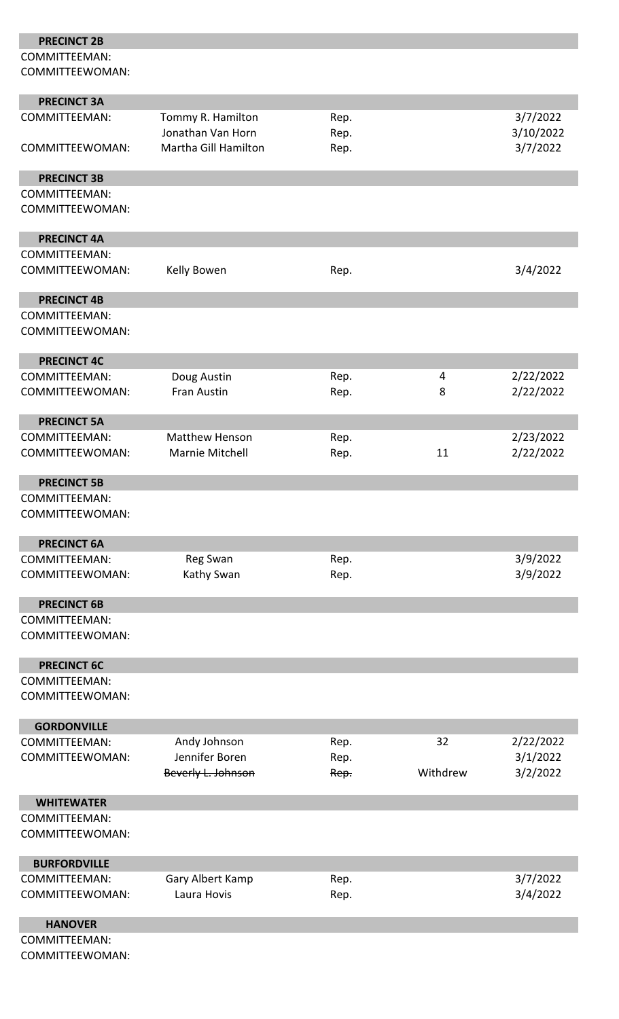| <b>PRECINCT 2B</b>                      |                                           |              |          |                       |
|-----------------------------------------|-------------------------------------------|--------------|----------|-----------------------|
| COMMITTEEMAN:<br>COMMITTEEWOMAN:        |                                           |              |          |                       |
|                                         |                                           |              |          |                       |
| <b>PRECINCT 3A</b>                      |                                           |              |          |                       |
| COMMITTEEMAN:                           | Tommy R. Hamilton                         | Rep.         |          | 3/7/2022              |
| COMMITTEEWOMAN:                         | Jonathan Van Horn<br>Martha Gill Hamilton | Rep.<br>Rep. |          | 3/10/2022<br>3/7/2022 |
|                                         |                                           |              |          |                       |
| <b>PRECINCT 3B</b>                      |                                           |              |          |                       |
| <b>COMMITTEEMAN:</b><br>COMMITTEEWOMAN: |                                           |              |          |                       |
|                                         |                                           |              |          |                       |
| <b>PRECINCT 4A</b>                      |                                           |              |          |                       |
| <b>COMMITTEEMAN:</b><br>COMMITTEEWOMAN: | Kelly Bowen                               | Rep.         |          | 3/4/2022              |
| <b>PRECINCT 4B</b>                      |                                           |              |          |                       |
| <b>COMMITTEEMAN:</b><br>COMMITTEEWOMAN: |                                           |              |          |                       |
| <b>PRECINCT 4C</b>                      |                                           |              |          |                       |
| <b>COMMITTEEMAN:</b>                    | Doug Austin                               | Rep.         | 4        | 2/22/2022             |
| COMMITTEEWOMAN:                         | <b>Fran Austin</b>                        | Rep.         | 8        | 2/22/2022             |
|                                         |                                           |              |          |                       |
| <b>PRECINCT 5A</b>                      |                                           |              |          |                       |
| <b>COMMITTEEMAN:</b>                    | <b>Matthew Henson</b>                     | Rep.         |          | 2/23/2022             |
| COMMITTEEWOMAN:                         | Marnie Mitchell                           | Rep.         | 11       | 2/22/2022             |
| <b>PRECINCT 5B</b>                      |                                           |              |          |                       |
| <b>COMMITTEEMAN:</b>                    |                                           |              |          |                       |
| COMMITTEEWOMAN:                         |                                           |              |          |                       |
| <b>PRECINCT 6A</b>                      |                                           |              |          |                       |
| <b>COMMITTEEMAN:</b>                    | Reg Swan                                  | Rep.         |          | 3/9/2022              |
| COMMITTEEWOMAN:                         | Kathy Swan                                | Rep.         |          | 3/9/2022              |
| <b>PRECINCT 6B</b>                      |                                           |              |          |                       |
| <b>COMMITTEEMAN:</b>                    |                                           |              |          |                       |
| COMMITTEEWOMAN:                         |                                           |              |          |                       |
| <b>PRECINCT 6C</b>                      |                                           |              |          |                       |
| COMMITTEEMAN:                           |                                           |              |          |                       |
| COMMITTEEWOMAN:                         |                                           |              |          |                       |
| <b>GORDONVILLE</b>                      |                                           |              |          |                       |
| COMMITTEEMAN:                           | Andy Johnson                              | Rep.         | 32       | 2/22/2022             |
| COMMITTEEWOMAN:                         | Jennifer Boren                            | Rep.         |          | 3/1/2022              |
|                                         | Beverly L. Johnson                        | Rep.         | Withdrew | 3/2/2022              |
|                                         |                                           |              |          |                       |
| <b>WHITEWATER</b>                       |                                           |              |          |                       |
| <b>COMMITTEEMAN:</b>                    |                                           |              |          |                       |
| COMMITTEEWOMAN:                         |                                           |              |          |                       |
| <b>BURFORDVILLE</b>                     |                                           |              |          |                       |
| <b>COMMITTEEMAN:</b>                    | Gary Albert Kamp                          | Rep.         |          | 3/7/2022              |
| COMMITTEEWOMAN:                         | Laura Hovis                               | Rep.         |          | 3/4/2022              |
|                                         |                                           |              |          |                       |
| <b>HANOVER</b>                          |                                           |              |          |                       |
| <b>COMMITTEEMAN:</b>                    |                                           |              |          |                       |
| COMMITTEEWOMAN:                         |                                           |              |          |                       |